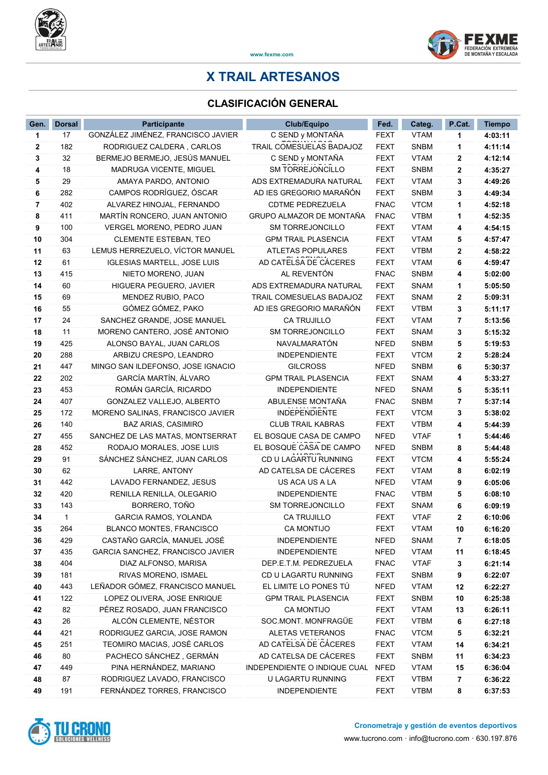



www.fexme.com

## X TRAIL ARTESANOS

## CLASIFICACIÓN GENERAL

| Gen.     | <b>Dorsal</b> | <b>Participante</b>                                             | <b>Club/Equipo</b>                     | Fed.                       | Categ.                     | P.Cat.         | <b>Tiempo</b>      |
|----------|---------------|-----------------------------------------------------------------|----------------------------------------|----------------------------|----------------------------|----------------|--------------------|
| 1        | 17            | GONZÁLEZ JIMÉNEZ, FRANCISCO JAVIER                              | C SEND y MONTAÑA                       | FEXT                       | <b>VTAM</b>                | 1              | 4:03:11            |
| 2        | 182           | RODRIGUEZ CALDERA, CARLOS                                       | TRAIL COMESUELAS BADAJOZ               | <b>FEXT</b>                | <b>SNBM</b>                | 1              | 4:11:14            |
| 3        | 32            | BERMEJO BERMEJO, JESÚS MANUEL                                   | C SEND y MONTAÑA                       | <b>FEXT</b>                | <b>VTAM</b>                | 2              | 4:12:14            |
| 4        | 18            | <b>MADRUGA VICENTE. MIGUEL</b>                                  | <b>SM TORREJONCILLO</b>                | <b>FEXT</b>                | <b>SNBM</b>                | $\mathbf{2}$   | 4:35:27            |
| 5        | 29            | AMAYA PARDO, ANTONIO                                            | ADS EXTREMADURA NATURAL                | <b>FEXT</b>                | <b>VTAM</b>                | 3              | 4:49:26            |
| 6        | 282           | CAMPOS RODRÍGUEZ, ÓSCAR                                         | AD IES GREGORIO MARAÑÓN                | <b>FEXT</b>                | <b>SNBM</b>                | 3              | 4:49:34            |
| 7        | 402           | ALVAREZ HINOJAL, FERNANDO                                       | <b>CDTME PEDREZUELA</b>                | <b>FNAC</b>                | <b>VTCM</b>                | 1              | 4:52:18            |
| 8        | 411           | MARTÍN RONCERO, JUAN ANTONIO                                    | GRUPO ALMAZOR DE MONTAÑA               | <b>FNAC</b>                | <b>VTBM</b>                | 1              | 4:52:35            |
| 9        | 100           | VERGEL MORENO, PEDRO JUAN                                       | <b>SM TORREJONCILLO</b>                | <b>FEXT</b>                | <b>VTAM</b>                | 4              | 4:54:15            |
| 10       | 304           | <b>CLEMENTE ESTEBAN, TEO</b>                                    | <b>GPM TRAIL PLASENCIA</b>             | <b>FEXT</b>                | <b>VTAM</b>                | 5              | 4:57:47            |
| 11       | 63            | LEMUS HERREZUELO, VÍCTOR MANUEL                                 | ATLETAS POPULARES                      | <b>FEXT</b>                | <b>VTBM</b>                | 2              | 4:58:22            |
| 12       | 61            | <b>IGLESIAS MARTELL, JOSE LUIS</b>                              | AD CATELSA DE CÁCERES                  | <b>FEXT</b>                | <b>VTAM</b>                | 6              | 4:59:47            |
| 13       | 415           | NIETO MORENO, JUAN                                              | AL REVENTÓN                            | <b>FNAC</b>                | <b>SNBM</b>                | 4              | 5:02:00            |
| 14       | 60            | HIGUERA PEGUERO, JAVIER                                         | ADS EXTREMADURA NATURAL                | <b>FEXT</b>                | <b>SNAM</b>                | 1              | 5:05:50            |
| 15       | 69            | MENDEZ RUBIO, PACO                                              | TRAIL COMESUELAS BADAJOZ               | <b>FEXT</b>                | <b>SNAM</b>                | 2              | 5:09:31            |
| 16       | 55            | GÓMEZ GÓMEZ, PAKO                                               | AD IES GREGORIO MARAÑÓN                | <b>FEXT</b>                | <b>VTBM</b>                | 3              | 5:11:17            |
| 17       | 24            | SANCHEZ GRANDE, JOSE MANUEL                                     | <b>CA TRUJILLO</b>                     | <b>FEXT</b>                | <b>VTAM</b>                | 7              | 5:13:56            |
| 18       | 11            | MORENO CANTERO, JOSÉ ANTONIO                                    | <b>SM TORREJONCILLO</b>                | FEXT                       | <b>SNAM</b>                | 3              | 5:15:32            |
| 19       | 425           | ALONSO BAYAL, JUAN CARLOS                                       | NAVALMARATÓN                           | <b>NFED</b>                | <b>SNBM</b>                | 5              | 5:19:53            |
| 20       | 288           | ARBIZU CRESPO, LEANDRO                                          | <b>INDEPENDIENTE</b>                   | <b>FEXT</b>                | <b>VTCM</b>                | 2              | 5:28:24            |
| 21       | 447           | MINGO SAN ILDEFONSO, JOSE IGNACIO                               | <b>GILCROSS</b>                        | <b>NFED</b>                | <b>SNBM</b>                | 6              | 5:30:37            |
| 22       | 202           | GARCÍA MARTÍN, ÁLVARO                                           | <b>GPM TRAIL PLASENCIA</b>             | <b>FEXT</b>                | <b>SNAM</b>                | 4              | 5:33:27            |
| 23       | 453           | ROMÁN GARCÍA, RICARDO                                           | <b>INDEPENDIENTE</b>                   | <b>NFED</b>                | <b>SNAM</b>                | 5              | 5:35:11            |
| 24       | 407           | GONZALEZ VALLEJO, ALBERTO                                       | ABULENSE MONTAÑA                       | <b>FNAC</b>                | <b>SNBM</b>                | $\overline{7}$ | 5:37:14            |
| 25       | 172           | MORENO SALINAS, FRANCISCO JAVIER                                | <b>INDEPENDIENTE</b>                   | <b>FEXT</b>                | <b>VTCM</b>                | 3              | 5:38:02            |
| 26       | 140           | <b>BAZ ARIAS, CASIMIRO</b>                                      | <b>CLUB TRAIL KABRAS</b>               | <b>FEXT</b>                | <b>VTBM</b>                | 4              | 5:44:39            |
| 27       | 455           | SANCHEZ DE LAS MATAS, MONTSERRAT                                | EL BOSQUE CASA DE CAMPO                | <b>NFED</b>                | <b>VTAF</b>                | 1              | 5:44:46            |
| 28       | 452           | RODAJO MORALES, JOSE LUIS                                       | EL BOSQUE CASA DE CAMPO                | <b>NFED</b>                | <b>SNBM</b>                | 8              | 5:44:48            |
| 29       | 91            | SÁNCHEZ SÁNCHEZ, JUAN CARLOS                                    | CD U LAGARTU RUNNING                   | <b>FEXT</b>                | <b>VTCM</b>                | 4              | 5:55:24            |
| 30       | 62            | LARRE, ANTONY                                                   | AD CATELSA DE CÁCERES                  | <b>FEXT</b>                | <b>VTAM</b>                | 8              | 6:02:19            |
| 31       | 442           | LAVADO FERNANDEZ, JESUS                                         | US ACA US A LA                         | <b>NFED</b>                | <b>VTAM</b>                | 9              | 6:05:06            |
| 32       | 420           | RENILLA RENILLA, OLEGARIO                                       | <b>INDEPENDIENTE</b>                   | <b>FNAC</b>                | <b>VTBM</b>                | 5              | 6:08:10            |
| 33       | 143           | BORRERO, TOÑO                                                   | SM TORREJONCILLO<br><b>CA TRUJILLO</b> | <b>FEXT</b>                | <b>SNAM</b>                | 6              | 6:09:19            |
| 34       | $\mathbf{1}$  | GARCIA RAMOS, YOLANDA                                           |                                        | <b>FEXT</b>                | <b>VTAF</b>                | $\mathbf{2}$   | 6:10:06            |
| 35       | 264           | BLANCO MONTES, FRANCISCO                                        | CA MONTIJO<br><b>INDEPENDIENTE</b>     | <b>FEXT</b><br><b>NFED</b> | <b>VTAM</b>                | 10             | 6:16:20            |
| 36<br>37 | 429<br>435    | CASTAÑO GARCÍA, MANUEL JOSÉ<br>GARCIA SANCHEZ, FRANCISCO JAVIER | <b>INDEPENDIENTE</b>                   | <b>NFED</b>                | <b>SNAM</b><br><b>VTAM</b> | 7<br>11        | 6:18:05<br>6:18:45 |
| 38       | 404           | DIAZ ALFONSO, MARISA                                            | DEP.E.T.M. PEDREZUELA                  | <b>FNAC</b>                | <b>VTAF</b>                | 3              | 6:21:14            |
| 39       | 181           | RIVAS MORENO, ISMAEL                                            | CD U LAGARTU RUNNING                   | <b>FEXT</b>                | <b>SNBM</b>                | 9              | 6:22:07            |
| 40       | 443           | LEÑADOR GÓMEZ, FRANCISCO MANUEL                                 | EL LIMITE LO PONES TÚ                  | <b>NFED</b>                | <b>VTAM</b>                | 12             | 6:22:27            |
| 41       | 122           | LOPEZ OLIVERA, JOSE ENRIQUE                                     | <b>GPM TRAIL PLASENCIA</b>             | <b>FEXT</b>                | <b>SNBM</b>                | 10             | 6:25:38            |
| 42       | 82            | PÉREZ ROSADO, JUAN FRANCISCO                                    | CA MONTIJO                             | <b>FEXT</b>                | <b>VTAM</b>                | 13             | 6:26:11            |
| 43       | 26            | ALCÓN CLEMENTE, NÉSTOR                                          | SOC.MONT. MONFRAGÜE                    | <b>FEXT</b>                | <b>VTBM</b>                | 6              | 6:27:18            |
| 44       | 421           | RODRIGUEZ GARCIA, JOSE RAMON                                    | ALETAS VETERANOS                       | <b>FNAC</b>                | <b>VTCM</b>                | 5              | 6:32:21            |
| 45       | 251           | TEOMIRO MACIAS, JOSÉ CARLOS                                     | AD CATELSA DE CÁCERES                  | <b>FEXT</b>                | <b>VTAM</b>                | 14             | 6:34:21            |
| 46       | 80            | PACHECO SÁNCHEZ, GERMÁN                                         | AD CATELSA DE CÁCERES                  | <b>FEXT</b>                | <b>SNBM</b>                | 11             | 6:34:23            |
| 47       | 449           | PINA HERNÁNDEZ, MARIANO                                         | INDEPENDIENTE O INDIQUE CUAL           | <b>NFED</b>                | <b>VTAM</b>                | 15             | 6:36:04            |
| 48       | 87            | RODRIGUEZ LAVADO, FRANCISCO                                     | U LAGARTU RUNNING                      | <b>FEXT</b>                | <b>VTBM</b>                | 7              | 6:36:22            |
| 49       | 191           | FERNÁNDEZ TORRES, FRANCISCO                                     | INDEPENDIENTE                          | <b>FEXT</b>                | <b>VTBM</b>                | 8              | 6:37:53            |